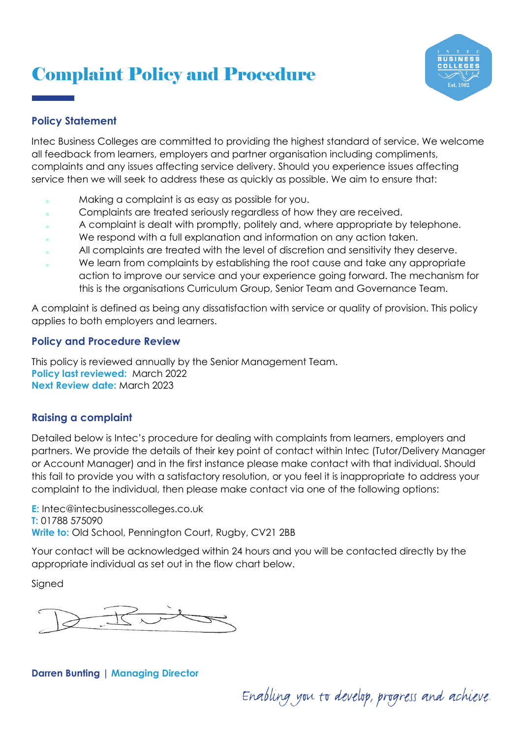# Complaint Policy and Procedure



## **Policy Statement**

Intec Business Colleges are committed to providing the highest standard of service. We welcome all feedback from learners, employers and partner organisation including compliments, complaints and any issues affecting service delivery. Should you experience issues affecting service then we will seek to address these as quickly as possible. We aim to ensure that:

- Making a complaint is as easy as possible for you.
- Complaints are treated seriously regardless of how they are received.
- A complaint is dealt with promptly, politely and, where appropriate by telephone.
- We respond with a full explanation and information on any action taken.
- All complaints are treated with the level of discretion and sensitivity they deserve.
- We learn from complaints by establishing the root cause and take any appropriate action to improve our service and your experience going forward. The mechanism for this is the organisations Curriculum Group, Senior Team and Governance Team.

A complaint is defined as being any dissatisfaction with service or quality of provision. This policy applies to both employers and learners.

### **Policy and Procedure Review**

This policy is reviewed annually by the Senior Management Team. **Policy last reviewed:** March 2022 **Next Review date:** March 2023

### **Raising a complaint**

Detailed below is Intec's procedure for dealing with complaints from learners, employers and partners. We provide the details of their key point of contact within Intec (Tutor/Delivery Manager or Account Manager) and in the first instance please make contact with that individual. Should this fail to provide you with a satisfactory resolution, or you feel it is inappropriate to address your complaint to the individual, then please make contact via one of the following options:

**E:** Intec@intecbusinesscolleges.co.uk **T:** 01788 575090 **Write to:** Old School, Pennington Court, Rugby, CV21 2BB

Your contact will be acknowledged within 24 hours and you will be contacted directly by the appropriate individual as set out in the flow chart below.

**Signed** 

#### **Darren Bunting | Managing Director**

Enabling you to develop, progress and achieve.